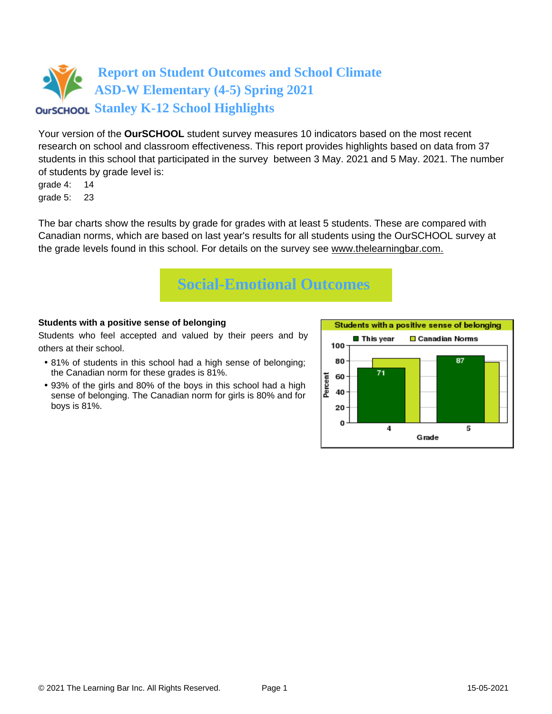## **Report on Student Outcomes and School Climate ASD-W Elementary (4-5) Spring 2021 OUTSCHOOL Stanley K-12 School Highlights**

Your version of the **OurSCHOOL** student survey measures 10 indicators based on the most recent research on school and classroom effectiveness. This report provides highlights based on data from 37 students in this school that participated in the survey between 3 May. 2021 and 5 May. 2021. The number of students by grade level is:

grade 4: 14 grade 5: 23

The bar charts show the results by grade for grades with at least 5 students. These are compared with Canadian norms, which are based on last year's results for all students using the OurSCHOOL survey at the grade levels found in this school. For details on the survey see [www.thelearningbar.com.](www.thelearningbar.com)



### **Students with a positive sense of belonging**

Students who feel accepted and valued by their peers and by others at their school.

- 81% of students in this school had a high sense of belonging; the Canadian norm for these grades is 81%.
- 93% of the girls and 80% of the boys in this school had a high sense of belonging. The Canadian norm for girls is 80% and for boys is 81%.

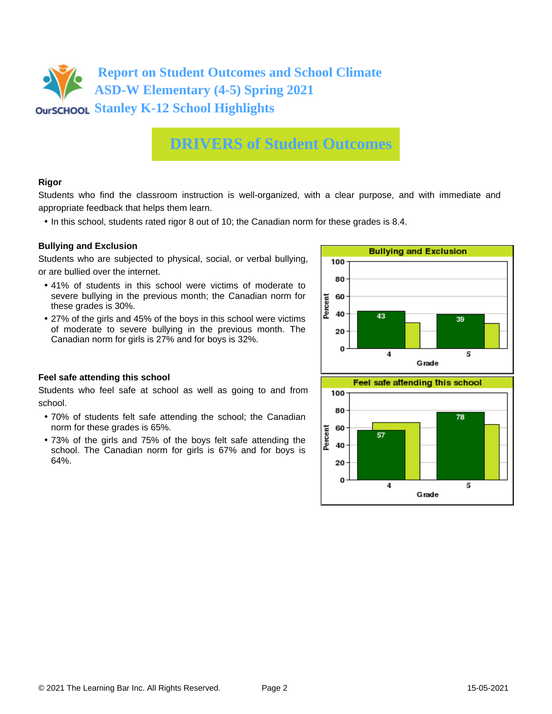

## **DRIVERS of Student Outcomes**

### **Rigor**

Students who find the classroom instruction is well-organized, with a clear purpose, and with immediate and appropriate feedback that helps them learn.

• In this school, students rated rigor 8 out of 10; the Canadian norm for these grades is 8.4.

### **Bullying and Exclusion**

Students who are subjected to physical, social, or verbal bullying, or are bullied over the internet.

- 41% of students in this school were victims of moderate to severe bullying in the previous month; the Canadian norm for these grades is 30%.
- 27% of the girls and 45% of the boys in this school were victims of moderate to severe bullying in the previous month. The Canadian norm for girls is 27% and for boys is 32%.



 $\overline{4}$ 

Grade

40 20  $\Omega$ 

#### **Feel safe attending this school**

Students who feel safe at school as well as going to and from school.

- 70% of students felt safe attending the school; the Canadian norm for these grades is 65%.
- 73% of the girls and 75% of the boys felt safe attending the school. The Canadian norm for girls is 67% and for boys is 64%.

5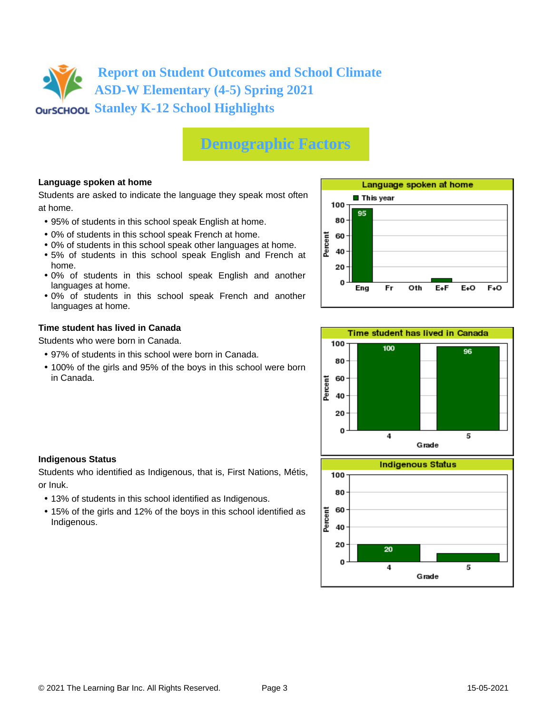**Report on Student Outcomes and School Climate ASD-W Elementary (4-5) Spring 2021 OUTSCHOOL Stanley K-12 School Highlights** 

## **Demographic Factors**

### **Language spoken at home**

Students are asked to indicate the language they speak most often at home.

- 95% of students in this school speak English at home.
- 0% of students in this school speak French at home.
- 0% of students in this school speak other languages at home.
- 5% of students in this school speak English and French at home.
- 0% of students in this school speak English and another languages at home.
- 0% of students in this school speak French and another languages at home.

#### **Time student has lived in Canada**

Students who were born in Canada.

- 97% of students in this school were born in Canada.
- 100% of the girls and 95% of the boys in this school were born in Canada.





#### **Indigenous Status**

Students who identified as Indigenous, that is, First Nations, Métis, or Inuk.

- 13% of students in this school identified as Indigenous.
- 15% of the girls and 12% of the boys in this school identified as Indigenous.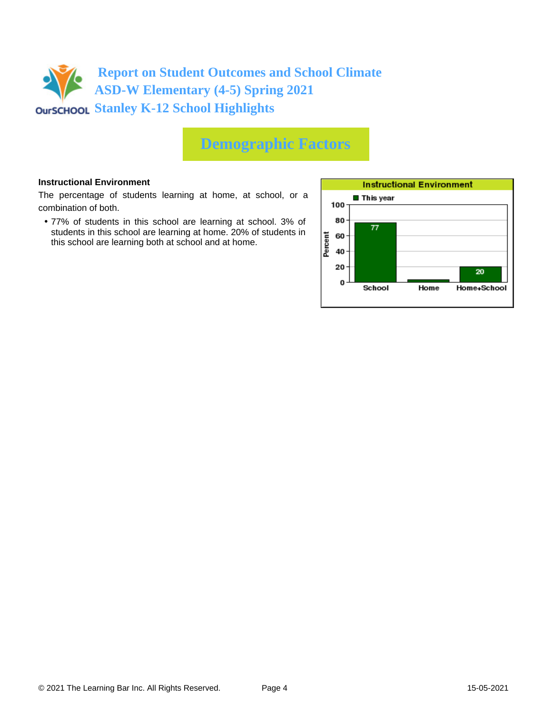

## **Demographic Factors**

#### **Instructional Environment**

The percentage of students learning at home, at school, or a combination of both.

• 77% of students in this school are learning at school. 3% of students in this school are learning at home. 20% of students in this school are learning both at school and at home.

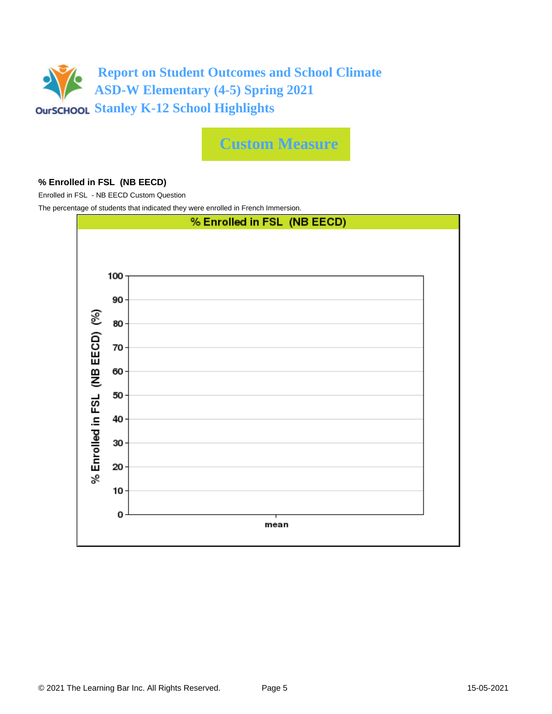

**Custom Measure**

### **% Enrolled in FSL (NB EECD)**

Enrolled in FSL - NB EECD Custom Question

The percentage of students that indicated they were enrolled in French Immersion.

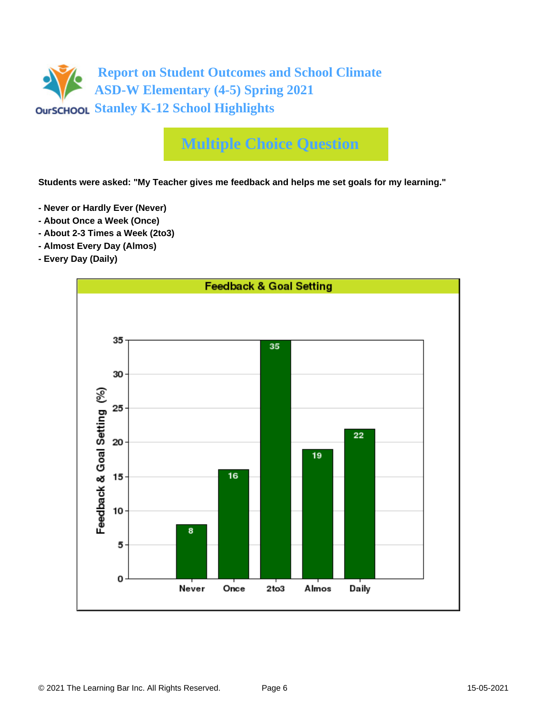

## **Multiple Choice Question**

**Students were asked: "My Teacher gives me feedback and helps me set goals for my learning."**

- **Never or Hardly Ever (Never)**
- **About Once a Week (Once)**
- **About 2-3 Times a Week (2to3)**
- **Almost Every Day (Almos)**
- **Every Day (Daily)**